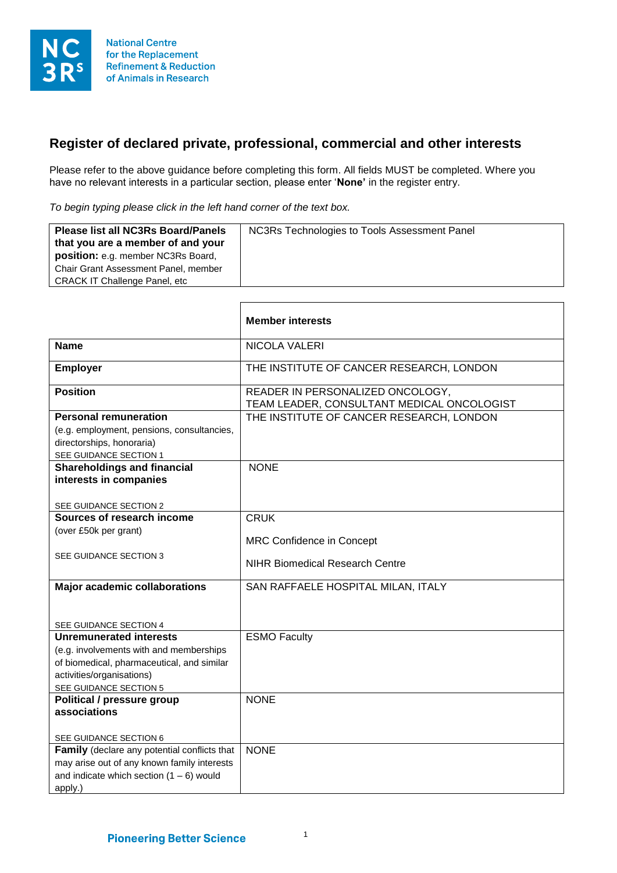

## **Register of declared private, professional, commercial and other interests**

Please refer to the above guidance before completing this form. All fields MUST be completed. Where you have no relevant interests in a particular section, please enter '**None'** in the register entry.

*To begin typing please click in the left hand corner of the text box.* 

 $\mathsf{r}$ 

| <b>Please list all NC3Rs Board/Panels</b><br>that you are a member of and your<br><b>position:</b> e.g. member NC3Rs Board,<br>Chair Grant Assessment Panel, member<br><b>CRACK IT Challenge Panel, etc</b> | NC3Rs Technologies to Tools Assessment Panel |
|-------------------------------------------------------------------------------------------------------------------------------------------------------------------------------------------------------------|----------------------------------------------|
|                                                                                                                                                                                                             |                                              |

|                                                                                       | <b>Member interests</b>                                                        |
|---------------------------------------------------------------------------------------|--------------------------------------------------------------------------------|
| <b>Name</b>                                                                           | NICOLA VALERI                                                                  |
| <b>Employer</b>                                                                       | THE INSTITUTE OF CANCER RESEARCH, LONDON                                       |
| <b>Position</b>                                                                       | READER IN PERSONALIZED ONCOLOGY,<br>TEAM LEADER, CONSULTANT MEDICAL ONCOLOGIST |
| <b>Personal remuneration</b>                                                          | THE INSTITUTE OF CANCER RESEARCH, LONDON                                       |
| (e.g. employment, pensions, consultancies,                                            |                                                                                |
| directorships, honoraria)                                                             |                                                                                |
| SEE GUIDANCE SECTION 1                                                                |                                                                                |
| <b>Shareholdings and financial</b>                                                    | <b>NONE</b>                                                                    |
| interests in companies                                                                |                                                                                |
|                                                                                       |                                                                                |
| SEE GUIDANCE SECTION 2                                                                |                                                                                |
| Sources of research income                                                            | <b>CRUK</b>                                                                    |
| (over £50k per grant)                                                                 | <b>MRC Confidence in Concept</b>                                               |
|                                                                                       |                                                                                |
| SEE GUIDANCE SECTION 3                                                                | <b>NIHR Biomedical Research Centre</b>                                         |
|                                                                                       |                                                                                |
| <b>Major academic collaborations</b>                                                  | SAN RAFFAELE HOSPITAL MILAN, ITALY                                             |
|                                                                                       |                                                                                |
|                                                                                       |                                                                                |
| SEE GUIDANCE SECTION 4<br><b>Unremunerated interests</b>                              |                                                                                |
|                                                                                       | <b>ESMO Faculty</b>                                                            |
| (e.g. involvements with and memberships<br>of biomedical, pharmaceutical, and similar |                                                                                |
| activities/organisations)                                                             |                                                                                |
| SEE GUIDANCE SECTION 5                                                                |                                                                                |
| <b>Political / pressure group</b>                                                     | <b>NONE</b>                                                                    |
| associations                                                                          |                                                                                |
|                                                                                       |                                                                                |
| SEE GUIDANCE SECTION 6                                                                |                                                                                |
| Family (declare any potential conflicts that                                          | <b>NONE</b>                                                                    |
| may arise out of any known family interests                                           |                                                                                |
| and indicate which section $(1 - 6)$ would                                            |                                                                                |
| apply.)                                                                               |                                                                                |